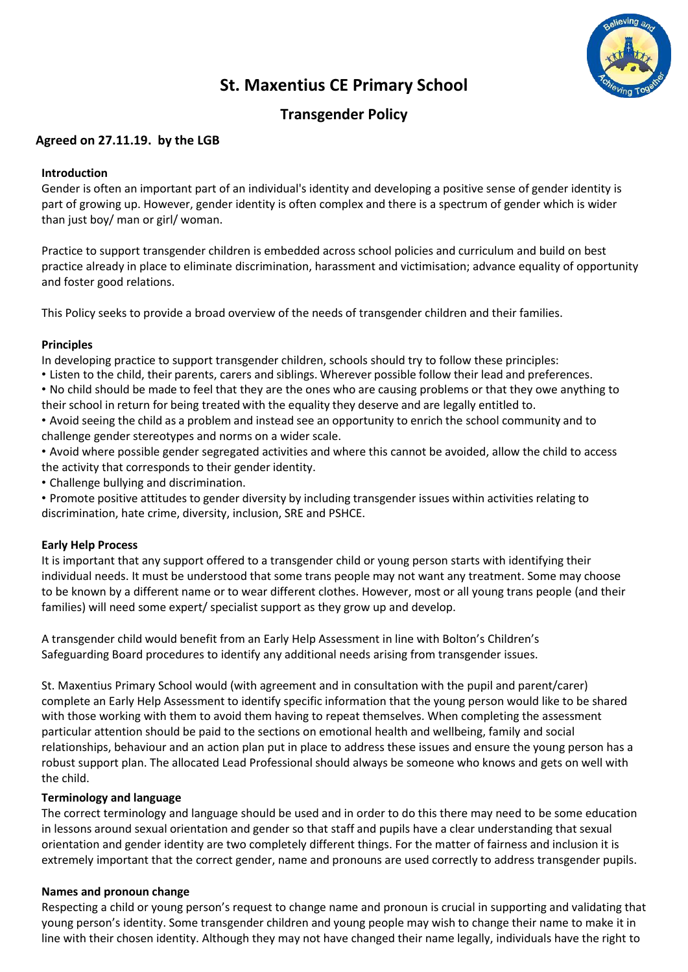

# **St. Maxentius CE Primary School**

## **Transgender Policy**

## **Agreed on 27.11.19. by the LGB**

### **Introduction**

Gender is often an important part of an individual's identity and developing a positive sense of gender identity is part of growing up. However, gender identity is often complex and there is a spectrum of gender which is wider than just boy/ man or girl/ woman.

Practice to support transgender children is embedded across school policies and curriculum and build on best practice already in place to eliminate discrimination, harassment and victimisation; advance equality of opportunity and foster good relations.

This Policy seeks to provide a broad overview of the needs of transgender children and their families.

#### **Principles**

In developing practice to support transgender children, schools should try to follow these principles:

- Listen to the child, their parents, carers and siblings. Wherever possible follow their lead and preferences.
- No child should be made to feel that they are the ones who are causing problems or that they owe anything to their school in return for being treated with the equality they deserve and are legally entitled to.
- Avoid seeing the child as a problem and instead see an opportunity to enrich the school community and to challenge gender stereotypes and norms on a wider scale.
- Avoid where possible gender segregated activities and where this cannot be avoided, allow the child to access the activity that corresponds to their gender identity.
- Challenge bullying and discrimination.
- Promote positive attitudes to gender diversity by including transgender issues within activities relating to discrimination, hate crime, diversity, inclusion, SRE and PSHCE.

#### **Early Help Process**

It is important that any support offered to a transgender child or young person starts with identifying their individual needs. It must be understood that some trans people may not want any treatment. Some may choose to be known by a different name or to wear different clothes. However, most or all young trans people (and their families) will need some expert/ specialist support as they grow up and develop.

A transgender child would benefit from an Early Help Assessment in line with Bolton's Children's Safeguarding Board procedures to identify any additional needs arising from transgender issues.

St. Maxentius Primary School would (with agreement and in consultation with the pupil and parent/carer) complete an Early Help Assessment to identify specific information that the young person would like to be shared with those working with them to avoid them having to repeat themselves. When completing the assessment particular attention should be paid to the sections on emotional health and wellbeing, family and social relationships, behaviour and an action plan put in place to address these issues and ensure the young person has a robust support plan. The allocated Lead Professional should always be someone who knows and gets on well with the child.

#### **Terminology and language**

The correct terminology and language should be used and in order to do this there may need to be some education in lessons around sexual orientation and gender so that staff and pupils have a clear understanding that sexual orientation and gender identity are two completely different things. For the matter of fairness and inclusion it is extremely important that the correct gender, name and pronouns are used correctly to address transgender pupils.

## **Names and pronoun change**

Respecting a child or young person's request to change name and pronoun is crucial in supporting and validating that young person's identity. Some transgender children and young people may wish to change their name to make it in line with their chosen identity. Although they may not have changed their name legally, individuals have the right to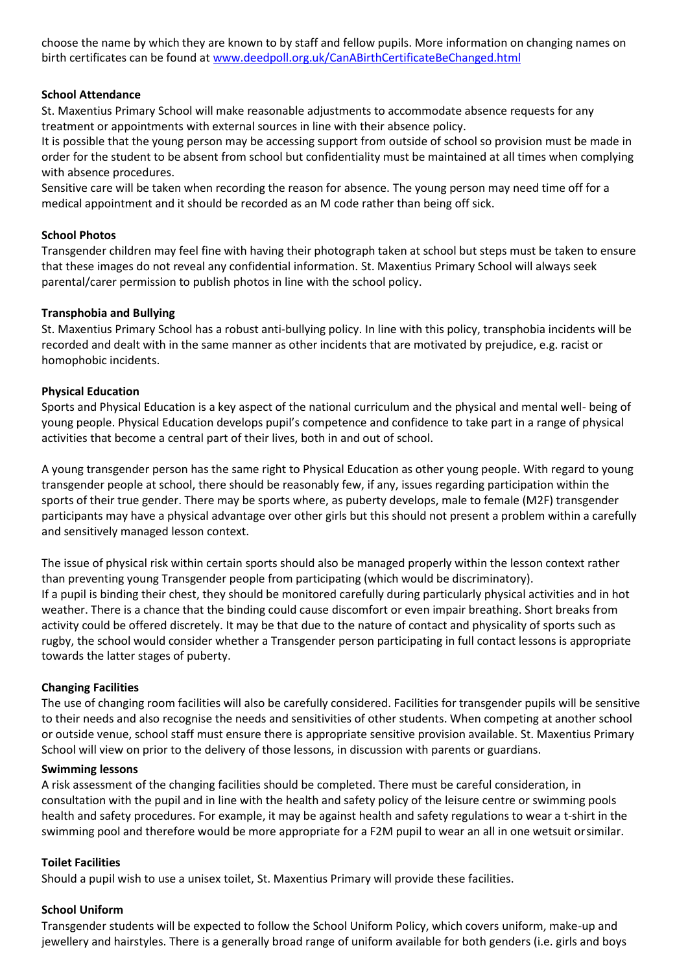choose the name by which they are known to by staff and fellow pupils. More information on changing names on birth certificates can be found at [www.deedpoll.org.uk/CanABirthCertificateBeChanged.html](http://www.deedpoll.org.uk/CanABirthCertificateBeChanged.html)

#### **School Attendance**

St. Maxentius Primary School will make reasonable adjustments to accommodate absence requests for any treatment or appointments with external sources in line with their absence policy.

It is possible that the young person may be accessing support from outside of school so provision must be made in order for the student to be absent from school but confidentiality must be maintained at all times when complying with absence procedures.

Sensitive care will be taken when recording the reason for absence. The young person may need time off for a medical appointment and it should be recorded as an M code rather than being off sick.

#### **School Photos**

Transgender children may feel fine with having their photograph taken at school but steps must be taken to ensure that these images do not reveal any confidential information. St. Maxentius Primary School will always seek parental/carer permission to publish photos in line with the school policy.

#### **Transphobia and Bullying**

St. Maxentius Primary School has a robust anti-bullying policy. In line with this policy, transphobia incidents will be recorded and dealt with in the same manner as other incidents that are motivated by prejudice, e.g. racist or homophobic incidents.

#### **Physical Education**

Sports and Physical Education is a key aspect of the national curriculum and the physical and mental well- being of young people. Physical Education develops pupil's competence and confidence to take part in a range of physical activities that become a central part of their lives, both in and out of school.

A young transgender person has the same right to Physical Education as other young people. With regard to young transgender people at school, there should be reasonably few, if any, issues regarding participation within the sports of their true gender. There may be sports where, as puberty develops, male to female (M2F) transgender participants may have a physical advantage over other girls but this should not present a problem within a carefully and sensitively managed lesson context.

The issue of physical risk within certain sports should also be managed properly within the lesson context rather than preventing young Transgender people from participating (which would be discriminatory). If a pupil is binding their chest, they should be monitored carefully during particularly physical activities and in hot weather. There is a chance that the binding could cause discomfort or even impair breathing. Short breaks from activity could be offered discretely. It may be that due to the nature of contact and physicality of sports such as rugby, the school would consider whether a Transgender person participating in full contact lessons is appropriate towards the latter stages of puberty.

#### **Changing Facilities**

The use of changing room facilities will also be carefully considered. Facilities for transgender pupils will be sensitive to their needs and also recognise the needs and sensitivities of other students. When competing at another school or outside venue, school staff must ensure there is appropriate sensitive provision available. St. Maxentius Primary School will view on prior to the delivery of those lessons, in discussion with parents or guardians.

#### **Swimming lessons**

A risk assessment of the changing facilities should be completed. There must be careful consideration, in consultation with the pupil and in line with the health and safety policy of the leisure centre or swimming pools health and safety procedures. For example, it may be against health and safety regulations to wear a t-shirt in the swimming pool and therefore would be more appropriate for a F2M pupil to wear an all in one wetsuit orsimilar.

#### **Toilet Facilities**

Should a pupil wish to use a unisex toilet, St. Maxentius Primary will provide these facilities.

#### **School Uniform**

Transgender students will be expected to follow the School Uniform Policy, which covers uniform, make-up and jewellery and hairstyles. There is a generally broad range of uniform available for both genders (i.e. girls and boys